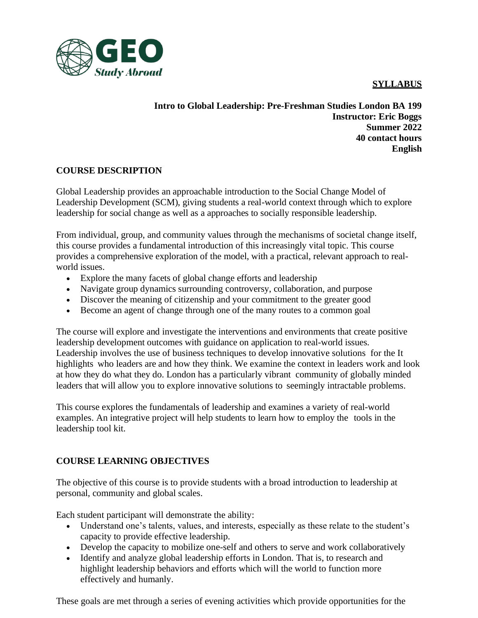## **SYLLABUS**



**Intro to Global Leadership: Pre-Freshman Studies London BA 199 Instructor: Eric Boggs Summer 2022 40 contact hours English**

## **COURSE DESCRIPTION**

Global Leadership provides an approachable introduction to the Social Change Model of Leadership Development (SCM), giving students a real-world context through which to explore leadership for social change as well as a approaches to socially responsible leadership.

From individual, group, and community values through the mechanisms of societal change itself, this course provides a fundamental introduction of this increasingly vital topic. This course provides a comprehensive exploration of the model, with a practical, relevant approach to realworld issues.

- Explore the many facets of global change efforts and leadership
- Navigate group dynamics surrounding controversy, collaboration, and purpose
- Discover the meaning of citizenship and your commitment to the greater good
- Become an agent of change through one of the many routes to a common goal

The course will explore and investigate the interventions and environments that create positive leadership development outcomes with guidance on application to real-world issues. Leadership involves the use of business techniques to develop innovative solutions for the It highlights who leaders are and how they think. We examine the context in leaders work and look at how they do what they do. London has a particularly vibrant community of globally minded leaders that will allow you to explore innovative solutions to seemingly intractable problems.

This course explores the fundamentals of leadership and examines a variety of real-world examples. An integrative project will help students to learn how to employ the tools in the leadership tool kit.

## **COURSE LEARNING OBJECTIVES**

The objective of this course is to provide students with a broad introduction to leadership at personal, community and global scales.

Each student participant will demonstrate the ability:

- Understand one's talents, values, and interests, especially as these relate to the student's capacity to provide effective leadership.
- Develop the capacity to mobilize one-self and others to serve and work collaboratively
- Identify and analyze global leadership efforts in London. That is, to research and highlight leadership behaviors and efforts which will the world to function more effectively and humanly.

These goals are met through a series of evening activities which provide opportunities for the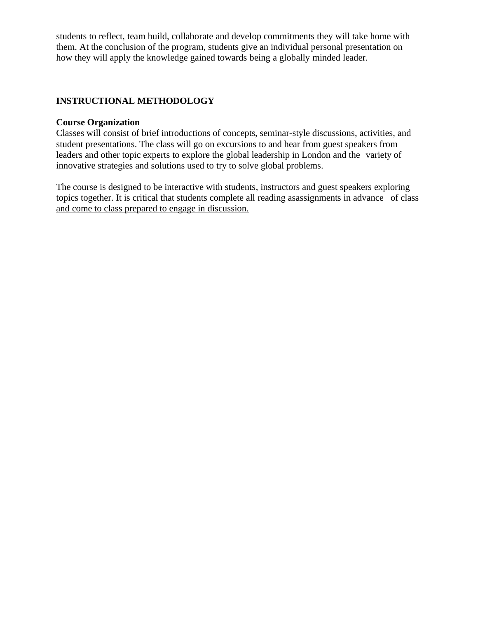students to reflect, team build, collaborate and develop commitments they will take home with them. At the conclusion of the program, students give an individual personal presentation on how they will apply the knowledge gained towards being a globally minded leader.

## **INSTRUCTIONAL METHODOLOGY**

## **Course Organization**

Classes will consist of brief introductions of concepts, seminar-style discussions, activities, and student presentations. The class will go on excursions to and hear from guest speakers from leaders and other topic experts to explore the global leadership in London and the variety of innovative strategies and solutions used to try to solve global problems.

The course is designed to be interactive with students, instructors and guest speakers exploring topics together. It is critical that students complete all reading asassignments in advance of class and come to class prepared to engage in discussion.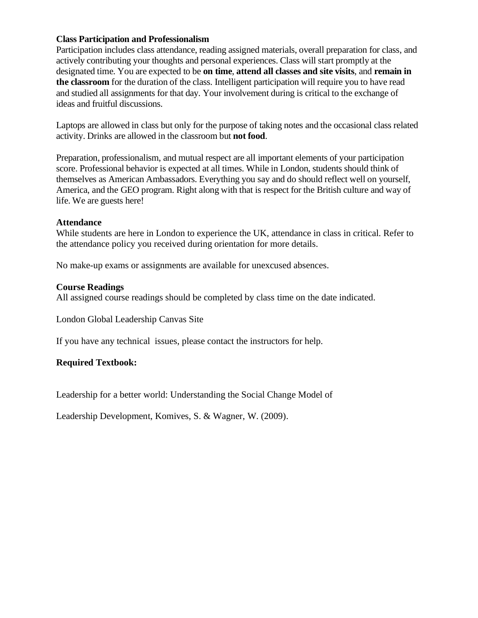## **Class Participation and Professionalism**

Participation includes class attendance, reading assigned materials, overall preparation for class, and actively contributing your thoughts and personal experiences. Class will start promptly at the designated time. You are expected to be **on time**, **attend all classes and site visits**, and **remain in the classroom** for the duration of the class. Intelligent participation will require you to have read and studied all assignments for that day. Your involvement during is critical to the exchange of ideas and fruitful discussions.

Laptops are allowed in class but only for the purpose of taking notes and the occasional class related activity. Drinks are allowed in the classroom but **not food**.

Preparation, professionalism, and mutual respect are all important elements of your participation score. Professional behavior is expected at all times. While in London, students should think of themselves as American Ambassadors. Everything you say and do should reflect well on yourself, America, and the GEO program. Right along with that is respect for the British culture and way of life. We are guests here!

#### **Attendance**

While students are here in London to experience the UK, attendance in class in critical. Refer to the attendance policy you received during orientation for more details.

No make-up exams or assignments are available for unexcused absences.

## **Course Readings**

All assigned course readings should be completed by class time on the date indicated.

London Global Leadership Canvas Site

If you have any technical issues, please contact the instructors for help.

## **Required Textbook:**

Leadership for a better world: Understanding the Social Change Model of

Leadership Development, Komives, S. & Wagner, W. (2009).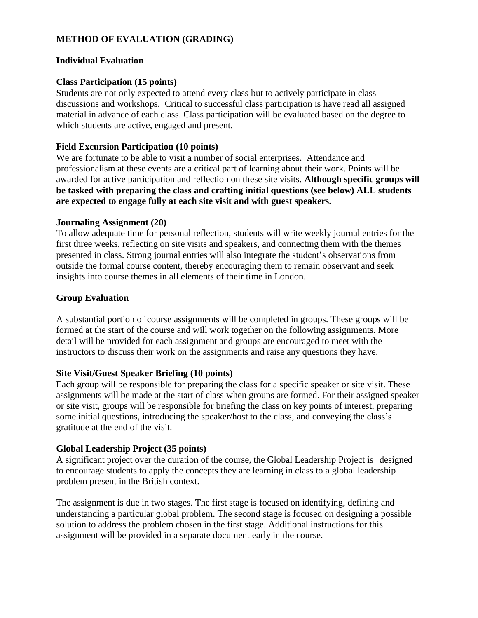## **METHOD OF EVALUATION (GRADING)**

#### **Individual Evaluation**

## **Class Participation (15 points)**

Students are not only expected to attend every class but to actively participate in class discussions and workshops. Critical to successful class participation is have read all assigned material in advance of each class. Class participation will be evaluated based on the degree to which students are active, engaged and present.

## **Field Excursion Participation (10 points)**

We are fortunate to be able to visit a number of social enterprises. Attendance and professionalism at these events are a critical part of learning about their work. Points will be awarded for active participation and reflection on these site visits. **Although specific groups will be tasked with preparing the class and crafting initial questions (see below) ALL students are expected to engage fully at each site visit and with guest speakers.**

#### **Journaling Assignment (20)**

To allow adequate time for personal reflection, students will write weekly journal entries for the first three weeks, reflecting on site visits and speakers, and connecting them with the themes presented in class. Strong journal entries will also integrate the student's observations from outside the formal course content, thereby encouraging them to remain observant and seek insights into course themes in all elements of their time in London.

#### **Group Evaluation**

A substantial portion of course assignments will be completed in groups. These groups will be formed at the start of the course and will work together on the following assignments. More detail will be provided for each assignment and groups are encouraged to meet with the instructors to discuss their work on the assignments and raise any questions they have.

#### **Site Visit/Guest Speaker Briefing (10 points)**

Each group will be responsible for preparing the class for a specific speaker or site visit. These assignments will be made at the start of class when groups are formed. For their assigned speaker or site visit, groups will be responsible for briefing the class on key points of interest, preparing some initial questions, introducing the speaker/host to the class, and conveying the class's gratitude at the end of the visit.

#### **Global Leadership Project (35 points)**

A significant project over the duration of the course, the Global Leadership Project is designed to encourage students to apply the concepts they are learning in class to a global leadership problem present in the British context.

The assignment is due in two stages. The first stage is focused on identifying, defining and understanding a particular global problem. The second stage is focused on designing a possible solution to address the problem chosen in the first stage. Additional instructions for this assignment will be provided in a separate document early in the course.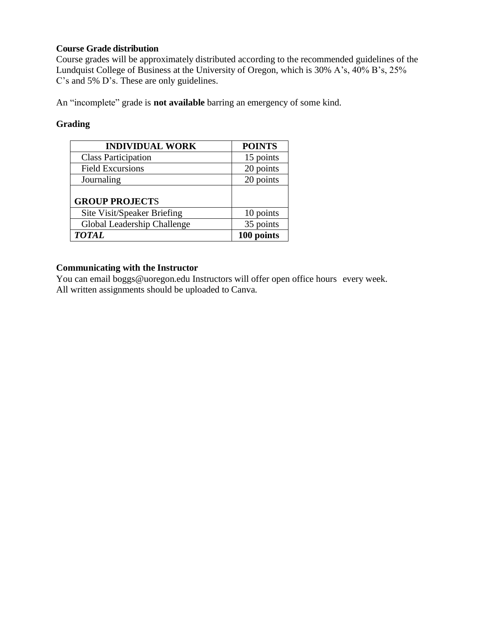## **Course Grade distribution**

Course grades will be approximately distributed according to the recommended guidelines of the Lundquist College of Business at the University of Oregon, which is 30% A's, 40% B's, 25% C's and 5% D's. These are only guidelines.

An "incomplete" grade is **not available** barring an emergency of some kind.

## **Grading**

| <b>INDIVIDUAL WORK</b>      | <b>POINTS</b> |
|-----------------------------|---------------|
| <b>Class Participation</b>  | 15 points     |
| <b>Field Excursions</b>     | 20 points     |
| Journaling                  | 20 points     |
|                             |               |
| <b>GROUP PROJECTS</b>       |               |
| Site Visit/Speaker Briefing | 10 points     |
| Global Leadership Challenge | 35 points     |
| <b>TOTAL</b>                | 100 points    |

## **Communicating with the Instructor**

You can email boggs@uoregon.edu Instructors will offer open office hours every week. All written assignments should be uploaded to Canva.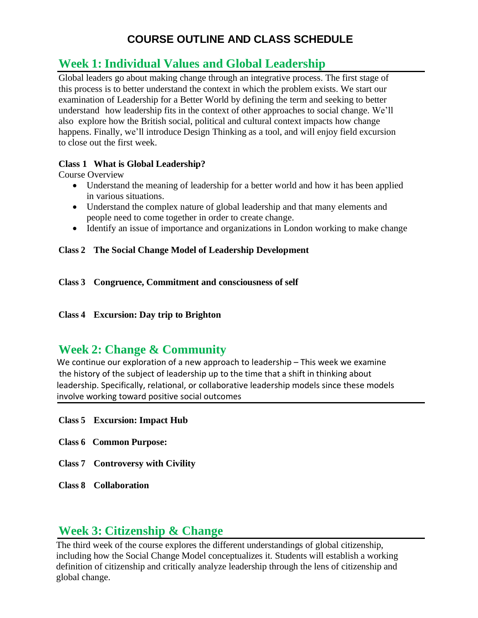## **COURSE OUTLINE AND CLASS SCHEDULE**

# **Week 1: Individual Values and Global Leadership**

Global leaders go about making change through an integrative process. The first stage of this process is to better understand the context in which the problem exists. We start our examination of Leadership for a Better World by defining the term and seeking to better understand how leadership fits in the context of other approaches to social change. We'll also explore how the British social, political and cultural context impacts how change happens. Finally, we'll introduce Design Thinking as a tool, and will enjoy field excursion to close out the first week.

## **Class 1 What is Global Leadership?**

Course Overview

- Understand the meaning of leadership for a better world and how it has been applied in various situations.
- Understand the complex nature of global leadership and that many elements and people need to come together in order to create change.
- Identify an issue of importance and organizations in London working to make change

## **Class 2 The Social Change Model of Leadership Development**

- **Class 3 Congruence, Commitment and consciousness of self**
- **Class 4 Excursion: Day trip to Brighton**

## **Week 2: Change & Community**

We continue our exploration of a new approach to leadership – This week we examine the history of the subject of leadership up to the time that a shift in thinking about leadership. Specifically, relational, or collaborative leadership models since these models involve working toward positive social outcomes

- **Class 5 Excursion: Impact Hub**
- **Class 6 Common Purpose:**
- **Class 7 Controversy with Civility**
- **Class 8 Collaboration**

## **Week 3: Citizenship & Change**

The third week of the course explores the different understandings of global citizenship, including how the Social Change Model conceptualizes it. Students will establish a working definition of citizenship and critically analyze leadership through the lens of citizenship and global change.